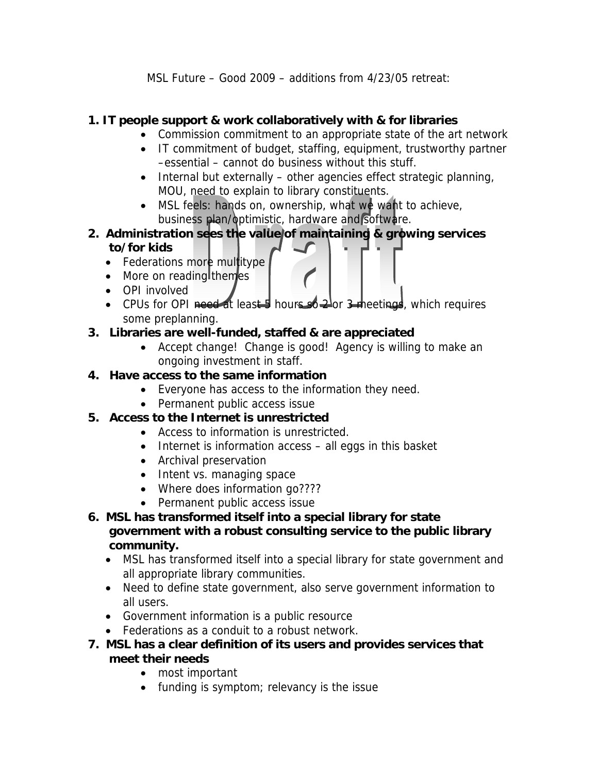MSL Future – Good 2009 – additions from 4/23/05 retreat:

## **1. IT people support & work collaboratively with & for libraries**

- Commission commitment to an appropriate state of the art network
- IT commitment of budget, staffing, equipment, trustworthy partner –essential – cannot do business without this stuff.
- Internal but externally other agencies effect strategic planning, MOU, need to explain to library constituents.
- MSL feels: hands on, ownership, what we want to achieve, business plan/optimistic, hardware and software.
- **2. Administration sees the value of maintaining & growing services to/for kids** 
	- Federations more multitype
	- More on reading themes
	- OPI involved
	- CPUs for OPI need at least 5 hours so  $2^{\circ}$  ar 3 meetings, which requires some preplanning.

## **3. Libraries are well-funded, staffed & are appreciated**

• Accept change! Change is good! Agency is willing to make an ongoing investment in staff.

## **4. Have access to the same information**

- Everyone has access to the information they need.
- Permanent public access issue
- **5. Access to the Internet is unrestricted** 
	- Access to information is unrestricted.
	- Internet is information access all eggs in this basket
	- Archival preservation
	- Intent vs. managing space
	- Where does information go????
	- Permanent public access issue
- **6. MSL has transformed itself into a special library for state government with a robust consulting service to the public library community.** 
	- MSL has transformed itself into a special library for state government and all appropriate library communities.
	- Need to define state government, also serve government information to all users.
	- Government information is a public resource
	- Federations as a conduit to a robust network.
- **7. MSL has a clear definition of its users and provides services that meet their needs** 
	- most important
	- funding is symptom; relevancy is the issue